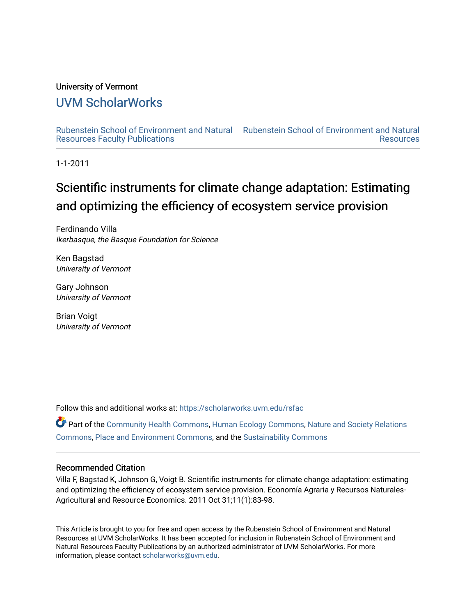## University of Vermont

## [UVM ScholarWorks](https://scholarworks.uvm.edu/)

[Rubenstein School of Environment and Natural](https://scholarworks.uvm.edu/rsfac) [Rubenstein School of Environment and Natural](https://scholarworks.uvm.edu/rs)  [Resources Faculty Publications](https://scholarworks.uvm.edu/rsfac)  [Resources](https://scholarworks.uvm.edu/rs) 

1-1-2011

# Scientific instruments for climate change adaptation: Estimating and optimizing the efficiency of ecosystem service provision

Ferdinando Villa Ikerbasque, the Basque Foundation for Science

Ken Bagstad University of Vermont

Gary Johnson University of Vermont

Brian Voigt University of Vermont

Follow this and additional works at: [https://scholarworks.uvm.edu/rsfac](https://scholarworks.uvm.edu/rsfac?utm_source=scholarworks.uvm.edu%2Frsfac%2F141&utm_medium=PDF&utm_campaign=PDFCoverPages) 

Part of the [Community Health Commons,](http://network.bepress.com/hgg/discipline/714?utm_source=scholarworks.uvm.edu%2Frsfac%2F141&utm_medium=PDF&utm_campaign=PDFCoverPages) [Human Ecology Commons](http://network.bepress.com/hgg/discipline/1335?utm_source=scholarworks.uvm.edu%2Frsfac%2F141&utm_medium=PDF&utm_campaign=PDFCoverPages), [Nature and Society Relations](http://network.bepress.com/hgg/discipline/357?utm_source=scholarworks.uvm.edu%2Frsfac%2F141&utm_medium=PDF&utm_campaign=PDFCoverPages)  [Commons](http://network.bepress.com/hgg/discipline/357?utm_source=scholarworks.uvm.edu%2Frsfac%2F141&utm_medium=PDF&utm_campaign=PDFCoverPages), [Place and Environment Commons](http://network.bepress.com/hgg/discipline/424?utm_source=scholarworks.uvm.edu%2Frsfac%2F141&utm_medium=PDF&utm_campaign=PDFCoverPages), and the [Sustainability Commons](http://network.bepress.com/hgg/discipline/1031?utm_source=scholarworks.uvm.edu%2Frsfac%2F141&utm_medium=PDF&utm_campaign=PDFCoverPages)

### Recommended Citation

Villa F, Bagstad K, Johnson G, Voigt B. Scientific instruments for climate change adaptation: estimating and optimizing the efficiency of ecosystem service provision. Economía Agraria y Recursos Naturales-Agricultural and Resource Economics. 2011 Oct 31;11(1):83-98.

This Article is brought to you for free and open access by the Rubenstein School of Environment and Natural Resources at UVM ScholarWorks. It has been accepted for inclusion in Rubenstein School of Environment and Natural Resources Faculty Publications by an authorized administrator of UVM ScholarWorks. For more information, please contact [scholarworks@uvm.edu.](mailto:scholarworks@uvm.edu)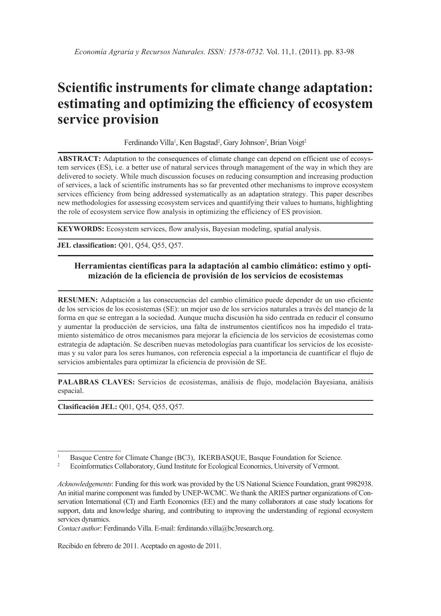# **Scientific instruments for climate change adaptation: estimating and optimizing the efficiency of ecosystem service provision**

Ferdinando Villa<sup>1</sup>, Ken Bagstad<sup>2</sup>, Gary Johnson<sup>2</sup>, Brian Voigt<sup>2</sup>

**ABSTRACT:** Adaptation to the consequences of climate change can depend on efficient use of ecosystem services (ES), i.e. a better use of natural services through management of the way in which they are delivered to society. While much discussion focuses on reducing consumption and increasing production of services, a lack of scientific instruments has so far prevented other mechanisms to improve ecosystem services efficiency from being addressed systematically as an adaptation strategy. This paper describes new methodologies for assessing ecosystem services and quantifying their values to humans, highlighting the role of ecosystem service flow analysis in optimizing the efficiency of ES provision.

**KEYWORDS:** Ecosystem services, flow analysis, Bayesian modeling, spatial analysis.

**JEL classification:** Q01, Q54, Q55, Q57.

#### **Herramientas científicas para la adaptación al cambio climático: estimo y optimización de la eficiencia de provisión de los servicios de ecosistemas**

**RESUMEN:** Adaptación a las consecuencias del cambio climático puede depender de un uso eficiente de los servicios de los ecosistemas (SE): un mejor uso de los servicios naturales a través del manejo de la forma en que se entregan a la sociedad. Aunque mucha discusión ha sido centrada en reducir el consumo y aumentar la producción de servicios, una falta de instrumentos científicos nos ha impedido el tratamiento sistemático de otros mecanismos para mejorar la eficiencia de los servicios de ecosistemas como estrategia de adaptación. Se describen nuevas metodologías para cuantificar los servicios de los ecosistemas y su valor para los seres humanos, con referencia especial a la importancia de cuantificar el flujo de servicios ambientales para optimizar la eficiencia de provisión de SE.

**PALABRAS CLAVES:** Servicios de ecosistemas, análisis de flujo, modelación Bayesiana, análisis espacial.

**Clasificación JEL:** Q01, Q54, Q55, Q57.

*Contact author*: Ferdinando Villa. E-mail: ferdinando.villa@bc3research.org.

Recibido en febrero de 2011. Aceptado en agosto de 2011.

<sup>&</sup>lt;sup>1</sup> Basque Centre for Climate Change (BC3), IKERBASQUE, Basque Foundation for Science.<br><sup>2</sup> Expiration Callshantary Canal Institute for Explanation International Materials of Margaret

<sup>2</sup> Ecoinformatics Collaboratory, Gund Institute for Ecological Economics, University of Vermont.

*Acknowledgements*: Funding for this work was provided by the US National Science Foundation, grant 9982938. An initial marine component was funded by UNEP-WCMC. We thank the ARIES partner organizations of Conservation International (CI) and Earth Economics (EE) and the many collaborators at case study locations for support, data and knowledge sharing, and contributing to improving the understanding of regional ecosystem services dynamics.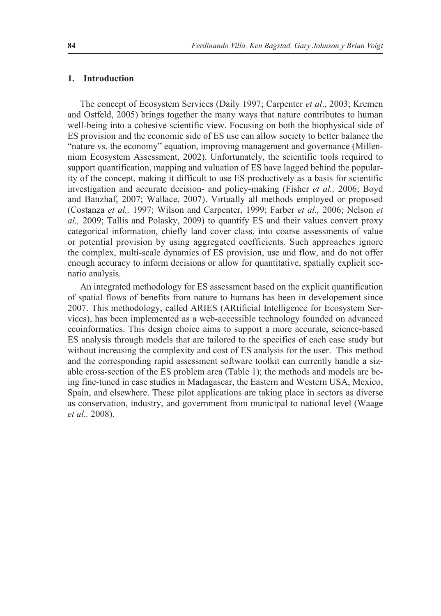#### **1. Introduction**

The concept of Ecosystem Services (Daily 1997; Carpenter *et al*., 2003; Kremen and Ostfeld, 2005) brings together the many ways that nature contributes to human well-being into a cohesive scientific view. Focusing on both the biophysical side of ES provision and the economic side of ES use can allow society to better balance the "nature vs. the economy" equation, improving management and governance (Millennium Ecosystem Assessment, 2002). Unfortunately, the scientific tools required to support quantification, mapping and valuation of ES have lagged behind the popularity of the concept, making it difficult to use ES productively as a basis for scientific investigation and accurate decision- and policy-making (Fisher *et al.,* 2006; Boyd and Banzhaf, 2007; Wallace, 2007). Virtually all methods employed or proposed (Costanza *et al.,* 1997; Wilson and Carpenter, 1999; Farber *et al.,* 2006; Nelson *et al.,* 2009; Tallis and Polasky, 2009) to quantify ES and their values convert proxy categorical information, chiefly land cover class, into coarse assessments of value or potential provision by using aggregated coefficients. Such approaches ignore the complex, multi-scale dynamics of ES provision, use and flow, and do not offer enough accuracy to inform decisions or allow for quantitative, spatially explicit scenario analysis.

An integrated methodology for ES assessment based on the explicit quantification of spatial flows of benefits from nature to humans has been in developement since 2007. This methodology, called ARIES (ARtificial Intelligence for Ecosystem Services), has been implemented as a web-accessible technology founded on advanced ecoinformatics. This design choice aims to support a more accurate, science-based ES analysis through models that are tailored to the specifics of each case study but without increasing the complexity and cost of ES analysis for the user. This method and the corresponding rapid assessment software toolkit can currently handle a sizable cross-section of the ES problem area (Table 1); the methods and models are being fine-tuned in case studies in Madagascar, the Eastern and Western USA, Mexico, Spain, and elsewhere. These pilot applications are taking place in sectors as diverse as conservation, industry, and government from municipal to national level (Waage *et al.,* 2008).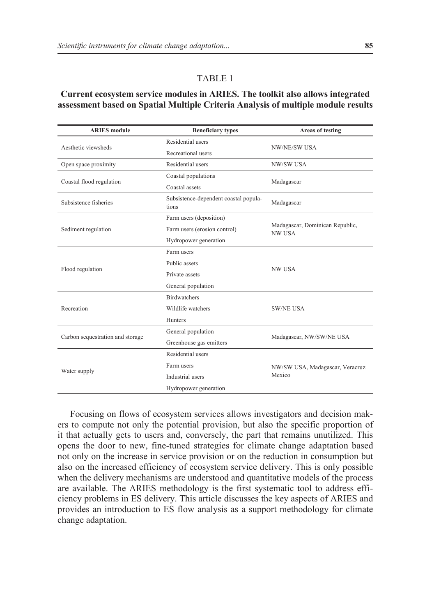#### TABLE 1

#### **Current ecosystem service modules in ARIES. The toolkit also allows integrated assessment based on Spatial Multiple Criteria Analysis of multiple module results**

| <b>ARIES</b> module              | <b>Beneficiary types</b>                       | Areas of testing                                 |
|----------------------------------|------------------------------------------------|--------------------------------------------------|
| Aesthetic viewsheds              | Residential users                              | <b>NW/NE/SW USA</b>                              |
|                                  | Recreational users                             |                                                  |
| Open space proximity             | Residential users                              | <b>NW/SW USA</b>                                 |
| Coastal flood regulation         | Coastal populations                            | Madagascar                                       |
|                                  | Coastal assets                                 |                                                  |
| Subsistence fisheries            | Subsistence-dependent coastal popula-<br>tions | Madagascar                                       |
| Sediment regulation              | Farm users (deposition)                        | Madagascar, Dominican Republic,<br><b>NW USA</b> |
|                                  | Farm users (erosion control)                   |                                                  |
|                                  | Hydropower generation                          |                                                  |
| Flood regulation                 | Farm users                                     | <b>NW USA</b>                                    |
|                                  | Public assets                                  |                                                  |
|                                  | Private assets                                 |                                                  |
|                                  | General population                             |                                                  |
| Recreation                       | <b>Birdwatchers</b>                            | <b>SW/NE USA</b>                                 |
|                                  | Wildlife watchers                              |                                                  |
|                                  | <b>Hunters</b>                                 |                                                  |
| Carbon sequestration and storage | General population                             | Madagascar, NW/SW/NE USA                         |
|                                  | Greenhouse gas emitters                        |                                                  |
| Water supply                     | Residential users                              | NW/SW USA, Madagascar, Veracruz<br>Mexico        |
|                                  | Farm users                                     |                                                  |
|                                  | Industrial users                               |                                                  |
|                                  | Hydropower generation                          |                                                  |

Focusing on flows of ecosystem services allows investigators and decision makers to compute not only the potential provision, but also the specific proportion of it that actually gets to users and, conversely, the part that remains unutilized. This opens the door to new, fine-tuned strategies for climate change adaptation based not only on the increase in service provision or on the reduction in consumption but also on the increased efficiency of ecosystem service delivery. This is only possible when the delivery mechanisms are understood and quantitative models of the process are available. The ARIES methodology is the first systematic tool to address efficiency problems in ES delivery. This article discusses the key aspects of ARIES and provides an introduction to ES flow analysis as a support methodology for climate change adaptation.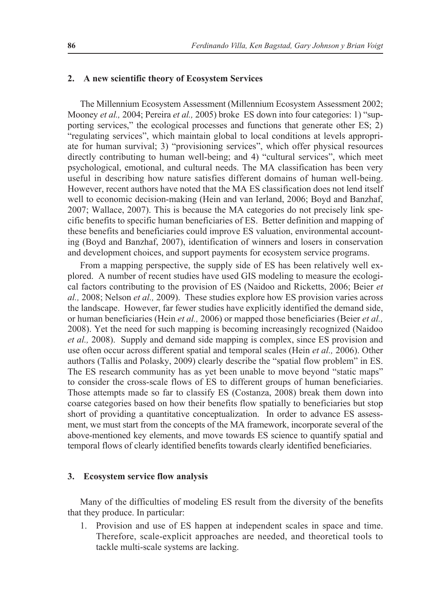#### **2. A new scientific theory of Ecosystem Services**

The Millennium Ecosystem Assessment (Millennium Ecosystem Assessment 2002; Mooney *et al.,* 2004; Pereira *et al.,* 2005) broke ES down into four categories: 1) "supporting services," the ecological processes and functions that generate other ES; 2) "regulating services", which maintain global to local conditions at levels appropriate for human survival; 3) "provisioning services", which offer physical resources directly contributing to human well-being; and 4) "cultural services", which meet psychological, emotional, and cultural needs. The MA classification has been very useful in describing how nature satisfies different domains of human well-being. However, recent authors have noted that the MA ES classification does not lend itself well to economic decision-making (Hein and van Ierland, 2006; Boyd and Banzhaf, 2007; Wallace, 2007). This is because the MA categories do not precisely link specific benefits to specific human beneficiaries of ES. Better definition and mapping of these benefits and beneficiaries could improve ES valuation, environmental accounting (Boyd and Banzhaf, 2007), identification of winners and losers in conservation and development choices, and support payments for ecosystem service programs.

From a mapping perspective, the supply side of ES has been relatively well explored. A number of recent studies have used GIS modeling to measure the ecological factors contributing to the provision of ES (Naidoo and Ricketts, 2006; Beier *et al.,* 2008; Nelson *et al.,* 2009). These studies explore how ES provision varies across the landscape. However, far fewer studies have explicitly identified the demand side, or human beneficiaries (Hein *et al.,* 2006) or mapped those beneficiaries (Beier *et al.,* 2008). Yet the need for such mapping is becoming increasingly recognized (Naidoo *et al.,* 2008). Supply and demand side mapping is complex, since ES provision and use often occur across different spatial and temporal scales (Hein *et al.,* 2006). Other authors (Tallis and Polasky, 2009) clearly describe the "spatial flow problem" in ES. The ES research community has as yet been unable to move beyond "static maps" to consider the cross-scale flows of ES to different groups of human beneficiaries. Those attempts made so far to classify ES (Costanza, 2008) break them down into coarse categories based on how their benefits flow spatially to beneficiaries but stop short of providing a quantitative conceptualization. In order to advance ES assessment, we must start from the concepts of the MA framework, incorporate several of the above-mentioned key elements, and move towards ES science to quantify spatial and temporal flows of clearly identified benefits towards clearly identified beneficiaries.

#### **3. Ecosystem service flow analysis**

Many of the difficulties of modeling ES result from the diversity of the benefits that they produce. In particular:

1. Provision and use of ES happen at independent scales in space and time. Therefore, scale-explicit approaches are needed, and theoretical tools to tackle multi-scale systems are lacking.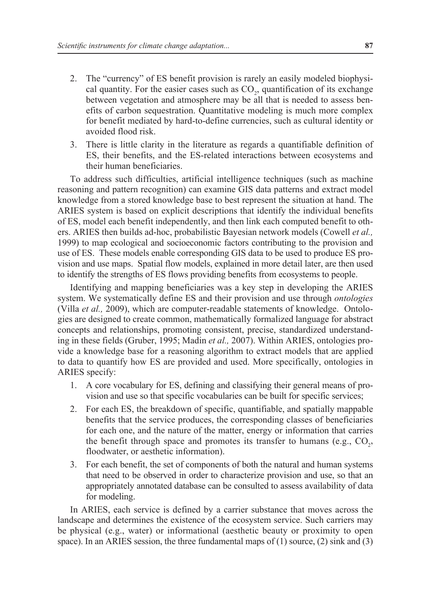- 2. The "currency" of ES benefit provision is rarely an easily modeled biophysical quantity. For the easier cases such as  $CO<sub>2</sub>$ , quantification of its exchange between vegetation and atmosphere may be all that is needed to assess benefits of carbon sequestration. Quantitative modeling is much more complex for benefit mediated by hard-to-define currencies, such as cultural identity or avoided flood risk.
- 3. There is little clarity in the literature as regards a quantifiable definition of ES, their benefits, and the ES-related interactions between ecosystems and their human beneficiaries.

To address such difficulties, artificial intelligence techniques (such as machine reasoning and pattern recognition) can examine GIS data patterns and extract model knowledge from a stored knowledge base to best represent the situation at hand. The ARIES system is based on explicit descriptions that identify the individual benefits of ES, model each benefit independently, and then link each computed benefit to others. ARIES then builds ad-hoc, probabilistic Bayesian network models (Cowell *et al.,* 1999) to map ecological and socioeconomic factors contributing to the provision and use of ES. These models enable corresponding GIS data to be used to produce ES provision and use maps. Spatial flow models, explained in more detail later, are then used to identify the strengths of ES flows providing benefits from ecosystems to people.

Identifying and mapping beneficiaries was a key step in developing the ARIES system. We systematically define ES and their provision and use through *ontologies* (Villa *et al.,* 2009), which are computer-readable statements of knowledge. Ontologies are designed to create common, mathematically formalized language for abstract concepts and relationships, promoting consistent, precise, standardized understanding in these fields (Gruber, 1995; Madin *et al.,* 2007). Within ARIES, ontologies provide a knowledge base for a reasoning algorithm to extract models that are applied to data to quantify how ES are provided and used. More specifically, ontologies in ARIES specify:

- 1. A core vocabulary for ES, defining and classifying their general means of provision and use so that specific vocabularies can be built for specific services;
- 2. For each ES, the breakdown of specific, quantifiable, and spatially mappable benefits that the service produces, the corresponding classes of beneficiaries for each one, and the nature of the matter, energy or information that carries the benefit through space and promotes its transfer to humans (e.g.,  $CO_2$ , floodwater, or aesthetic information).
- 3. For each benefit, the set of components of both the natural and human systems that need to be observed in order to characterize provision and use, so that an appropriately annotated database can be consulted to assess availability of data for modeling.

In ARIES, each service is defined by a carrier substance that moves across the landscape and determines the existence of the ecosystem service. Such carriers may be physical (e.g., water) or informational (aesthetic beauty or proximity to open space). In an ARIES session, the three fundamental maps of  $(1)$  source,  $(2)$  sink and  $(3)$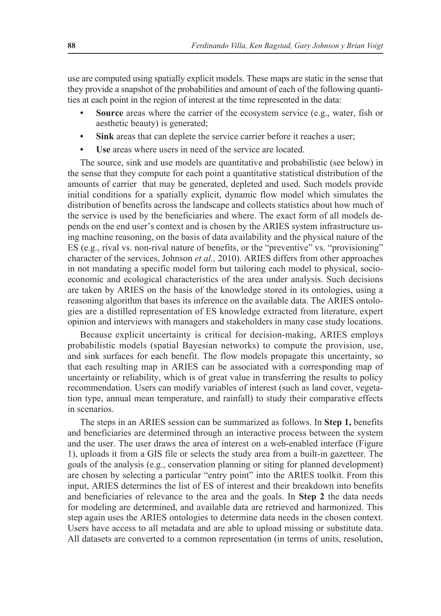use are computed using spatially explicit models. These maps are static in the sense that they provide a snapshot of the probabilities and amount of each of the following quantities at each point in the region of interest at the time represented in the data:

- **• Source** areas where the carrier of the ecosystem service (e.g., water, fish or aesthetic beauty) is generated;
- **• Sink** areas that can deplete the service carrier before it reaches a user;
- **• Use** areas where users in need of the service are located.

The source, sink and use models are quantitative and probabilistic (see below) in the sense that they compute for each point a quantitative statistical distribution of the amounts of carrier that may be generated, depleted and used. Such models provide initial conditions for a spatially explicit, dynamic flow model which simulates the distribution of benefits across the landscape and collects statistics about how much of the service is used by the beneficiaries and where. The exact form of all models depends on the end user's context and is chosen by the ARIES system infrastructure using machine reasoning, on the basis of data availability and the physical nature of the ES (e.g., rival vs. non-rival nature of benefits, or the "preventive" vs. "provisioning" character of the services, Johnson *et al.,* 2010). ARIES differs from other approaches in not mandating a specific model form but tailoring each model to physical, socioeconomic and ecological characteristics of the area under analysis. Such decisions are taken by ARIES on the basis of the knowledge stored in its ontologies, using a reasoning algorithm that bases its inference on the available data. The ARIES ontologies are a distilled representation of ES knowledge extracted from literature, expert opinion and interviews with managers and stakeholders in many case study locations.

Because explicit uncertainty is critical for decision-making, ARIES employs probabilistic models (spatial Bayesian networks) to compute the provision, use, and sink surfaces for each benefit. The flow models propagate this uncertainty, so that each resulting map in ARIES can be associated with a corresponding map of uncertainty or reliability, which is of great value in transferring the results to policy recommendation. Users can modify variables of interest (such as land cover, vegetation type, annual mean temperature, and rainfall) to study their comparative effects in scenarios.

The steps in an ARIES session can be summarized as follows. In **Step 1,** benefits and beneficiaries are determined through an interactive process between the system and the user. The user draws the area of interest on a web-enabled interface (Figure 1), uploads it from a GIS file or selects the study area from a built-in gazetteer. The goals of the analysis (e.g., conservation planning or siting for planned development) are chosen by selecting a particular "entry point" into the ARIES toolkit. From this input, ARIES determines the list of ES of interest and their breakdown into benefits and beneficiaries of relevance to the area and the goals. In **Step 2** the data needs for modeling are determined, and available data are retrieved and harmonized. This step again uses the ARIES ontologies to determine data needs in the chosen context. Users have access to all metadata and are able to upload missing or substitute data. All datasets are converted to a common representation (in terms of units, resolution,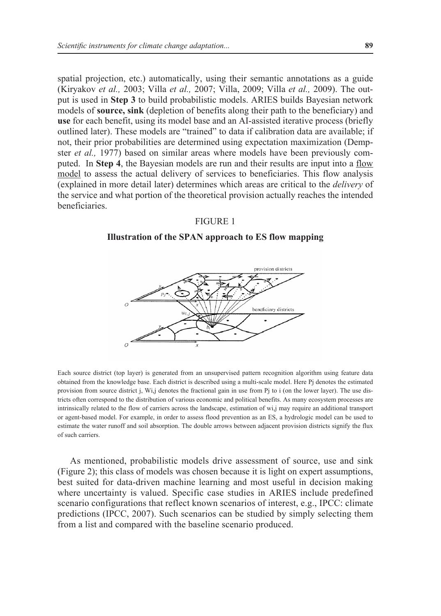spatial projection, etc.) automatically, using their semantic annotations as a guide (Kiryakov *et al.,* 2003; Villa *et al.,* 2007; Villa, 2009; Villa *et al.,* 2009). The output is used in **Step 3** to build probabilistic models. ARIES builds Bayesian network models of **source, sink** (depletion of benefits along their path to the beneficiary) and **use** for each benefit, using its model base and an AI-assisted iterative process (briefly outlined later). These models are "trained" to data if calibration data are available; if not, their prior probabilities are determined using expectation maximization (Dempster *et al.,* 1977) based on similar areas where models have been previously computed. In **Step 4**, the Bayesian models are run and their results are input into a flow model to assess the actual delivery of services to beneficiaries. This flow analysis (explained in more detail later) determines which areas are critical to the *delivery* of the service and what portion of the theoretical provision actually reaches the intended **beneficiaries** 

#### FIGURE 1

#### **Illustration of the SPAN approach to ES flow mapping**



Each source district (top layer) is generated from an unsupervised pattern recognition algorithm using feature data obtained from the knowledge base. Each district is described using a multi-scale model. Here Pj denotes the estimated provision from source district j, Wi,j denotes the fractional gain in use from Pj to i (on the lower layer). The use districts often correspond to the distribution of various economic and political benefits. As many ecosystem processes are intrinsically related to the flow of carriers across the landscape, estimation of wi,j may require an additional transport or agent-based model. For example, in order to assess flood prevention as an ES, a hydrologic model can be used to estimate the water runoff and soil absorption. The double arrows between adjacent provision districts signify the flux of such carriers.

As mentioned, probabilistic models drive assessment of source, use and sink (Figure 2); this class of models was chosen because it is light on expert assumptions, best suited for data-driven machine learning and most useful in decision making where uncertainty is valued. Specific case studies in ARIES include predefined scenario configurations that reflect known scenarios of interest, e.g., IPCC: climate predictions (IPCC, 2007). Such scenarios can be studied by simply selecting them from a list and compared with the baseline scenario produced.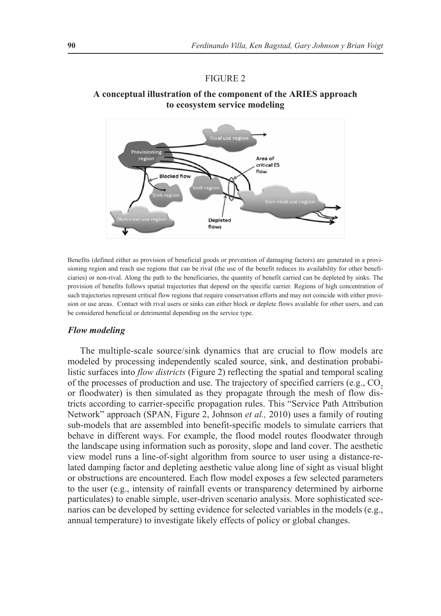#### Figure 2

#### **A conceptual illustration of the component of the ARIES approach to ecosystem service modeling**



Benefits (defined either as provision of beneficial goods or prevention of damaging factors) are generated in a provisioning region and reach use regions that can be rival (the use of the benefit reduces its availability for other beneficiaries) or non-rival. Along the path to the beneficiaries, the quantity of benefit carried can be depleted by sinks. The provision of benefits follows spatial trajectories that depend on the specific carrier. Regions of high concentration of such trajectories represent critical flow regions that require conservation efforts and may not coincide with either provision or use areas. Contact with rival users or sinks can either block or deplete flows available for other users, and can be considered beneficial or detrimental depending on the service type.

#### *Flow modeling*

The multiple-scale source/sink dynamics that are crucial to flow models are modeled by processing independently scaled source, sink, and destination probabilistic surfaces into *flow districts* (Figure 2) reflecting the spatial and temporal scaling of the processes of production and use. The trajectory of specified carriers (e.g., CO<sub>2</sub>) or floodwater) is then simulated as they propagate through the mesh of flow districts according to carrier-specific propagation rules. This "Service Path Attribution Network" approach (SPAN, Figure 2, Johnson *et al.,* 2010) uses a family of routing sub-models that are assembled into benefit-specific models to simulate carriers that behave in different ways. For example, the flood model routes floodwater through the landscape using information such as porosity, slope and land cover. The aesthetic view model runs a line-of-sight algorithm from source to user using a distance-related damping factor and depleting aesthetic value along line of sight as visual blight or obstructions are encountered. Each flow model exposes a few selected parameters to the user (e.g., intensity of rainfall events or transparency determined by airborne particulates) to enable simple, user-driven scenario analysis. More sophisticated scenarios can be developed by setting evidence for selected variables in the models (e.g., annual temperature) to investigate likely effects of policy or global changes.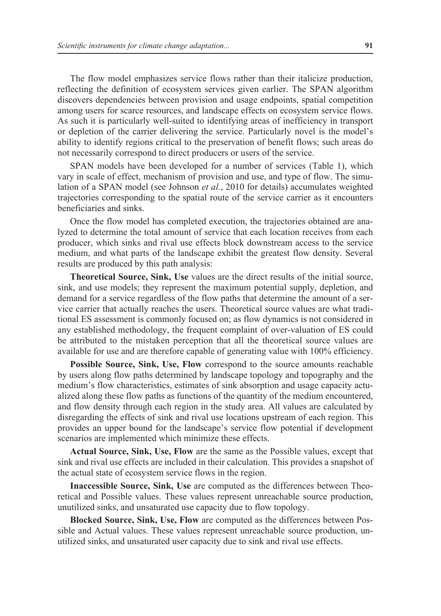The flow model emphasizes service flows rather than their italicize production, reflecting the definition of ecosystem services given earlier. The SPAN algorithm discovers dependencies between provision and usage endpoints, spatial competition among users for scarce resources, and landscape effects on ecosystem service flows. As such it is particularly well-suited to identifying areas of inefficiency in transport or depletion of the carrier delivering the service. Particularly novel is the model's ability to identify regions critical to the preservation of benefit flows; such areas do not necessarily correspond to direct producers or users of the service.

SPAN models have been developed for a number of services (Table 1), which vary in scale of effect, mechanism of provision and use, and type of flow. The simulation of a SPAN model (see Johnson *et al.*, 2010 for details) accumulates weighted trajectories corresponding to the spatial route of the service carrier as it encounters beneficiaries and sinks.

Once the flow model has completed execution, the trajectories obtained are analyzed to determine the total amount of service that each location receives from each producer, which sinks and rival use effects block downstream access to the service medium, and what parts of the landscape exhibit the greatest flow density. Several results are produced by this path analysis:

**Theoretical Source, Sink, Use** values are the direct results of the initial source, sink, and use models; they represent the maximum potential supply, depletion, and demand for a service regardless of the flow paths that determine the amount of a service carrier that actually reaches the users. Theoretical source values are what traditional ES assessment is commonly focused on; as flow dynamics is not considered in any established methodology, the frequent complaint of over-valuation of ES could be attributed to the mistaken perception that all the theoretical source values are available for use and are therefore capable of generating value with 100% efficiency.

**Possible Source, Sink, Use, Flow** correspond to the source amounts reachable by users along flow paths determined by landscape topology and topography and the medium's flow characteristics, estimates of sink absorption and usage capacity actualized along these flow paths as functions of the quantity of the medium encountered, and flow density through each region in the study area. All values are calculated by disregarding the effects of sink and rival use locations upstream of each region. This provides an upper bound for the landscape's service flow potential if development scenarios are implemented which minimize these effects.

**Actual Source, Sink, Use, Flow** are the same as the Possible values, except that sink and rival use effects are included in their calculation. This provides a snapshot of the actual state of ecosystem service flows in the region.

**Inaccessible Source, Sink, Use** are computed as the differences between Theoretical and Possible values. These values represent unreachable source production, unutilized sinks, and unsaturated use capacity due to flow topology.

**Blocked Source, Sink, Use, Flow** are computed as the differences between Possible and Actual values. These values represent unreachable source production, unutilized sinks, and unsaturated user capacity due to sink and rival use effects.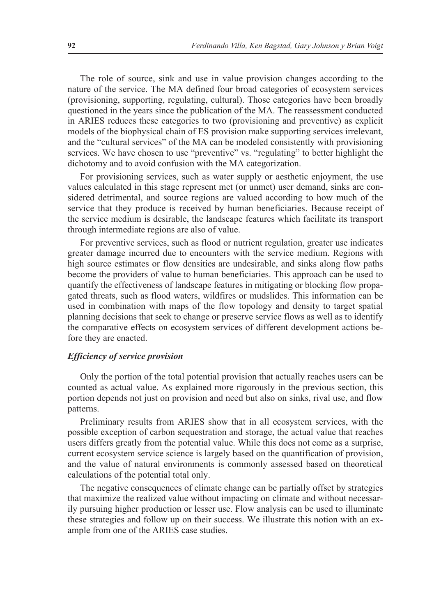The role of source, sink and use in value provision changes according to the nature of the service. The MA defined four broad categories of ecosystem services (provisioning, supporting, regulating, cultural). Those categories have been broadly questioned in the years since the publication of the MA. The reassessment conducted in ARIES reduces these categories to two (provisioning and preventive) as explicit models of the biophysical chain of ES provision make supporting services irrelevant, and the "cultural services" of the MA can be modeled consistently with provisioning services. We have chosen to use "preventive" vs. "regulating" to better highlight the dichotomy and to avoid confusion with the MA categorization.

For provisioning services, such as water supply or aesthetic enjoyment, the use values calculated in this stage represent met (or unmet) user demand, sinks are considered detrimental, and source regions are valued according to how much of the service that they produce is received by human beneficiaries. Because receipt of the service medium is desirable, the landscape features which facilitate its transport through intermediate regions are also of value.

For preventive services, such as flood or nutrient regulation, greater use indicates greater damage incurred due to encounters with the service medium. Regions with high source estimates or flow densities are undesirable, and sinks along flow paths become the providers of value to human beneficiaries. This approach can be used to quantify the effectiveness of landscape features in mitigating or blocking flow propagated threats, such as flood waters, wildfires or mudslides. This information can be used in combination with maps of the flow topology and density to target spatial planning decisions that seek to change or preserve service flows as well as to identify the comparative effects on ecosystem services of different development actions before they are enacted.

#### *Efficiency of service provision*

Only the portion of the total potential provision that actually reaches users can be counted as actual value. As explained more rigorously in the previous section, this portion depends not just on provision and need but also on sinks, rival use, and flow patterns.

Preliminary results from ARIES show that in all ecosystem services, with the possible exception of carbon sequestration and storage, the actual value that reaches users differs greatly from the potential value. While this does not come as a surprise, current ecosystem service science is largely based on the quantification of provision, and the value of natural environments is commonly assessed based on theoretical calculations of the potential total only.

The negative consequences of climate change can be partially offset by strategies that maximize the realized value without impacting on climate and without necessarily pursuing higher production or lesser use. Flow analysis can be used to illuminate these strategies and follow up on their success. We illustrate this notion with an example from one of the ARIES case studies.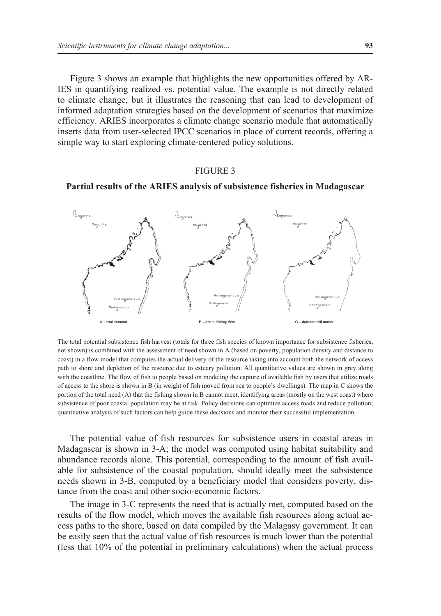Figure 3 shows an example that highlights the new opportunities offered by AR-IES in quantifying realized vs. potential value. The example is not directly related to climate change, but it illustrates the reasoning that can lead to development of informed adaptation strategies based on the development of scenarios that maximize efficiency. ARIES incorporates a climate change scenario module that automatically inserts data from user-selected IPCC scenarios in place of current records, offering a simple way to start exploring climate-centered policy solutions.

#### Figure 3

#### **Partial results of the ARIES analysis of subsistence fisheries in Madagascar**



The total potential subsistence fish harvest (totals for three fish species of known importance for subsistence fisheries, not shown) is combined with the assessment of need shown in A (based on poverty, population density and distance to coast) in a flow model that computes the actual delivery of the resource taking into account both the network of access path to shore and depletion of the resource due to estuary pollution. All quantitative values are shown in grey along with the coastline. The flow of fish to people based on modeling the capture of available fish by users that utilize roads of access to the shore is shown in B (in weight of fish moved from sea to people's dwellings). The map in C shows the portion of the total need (A) that the fishing shown in B cannot meet, identifying areas (mostly on the west coast) where subsistence of poor coastal population may be at risk. Policy decisions can optimize access roads and reduce pollution; quantitative analysis of such factors can help guide these decisions and monitor their successful implementation.

The potential value of fish resources for subsistence users in coastal areas in Madagascar is shown in 3-A; the model was computed using habitat suitability and abundance records alone. This potential, corresponding to the amount of fish available for subsistence of the coastal population, should ideally meet the subsistence needs shown in 3-B, computed by a beneficiary model that considers poverty, distance from the coast and other socio-economic factors.

The image in 3-C represents the need that is actually met, computed based on the results of the flow model, which moves the available fish resources along actual access paths to the shore, based on data compiled by the Malagasy government. It can be easily seen that the actual value of fish resources is much lower than the potential (less that 10% of the potential in preliminary calculations) when the actual process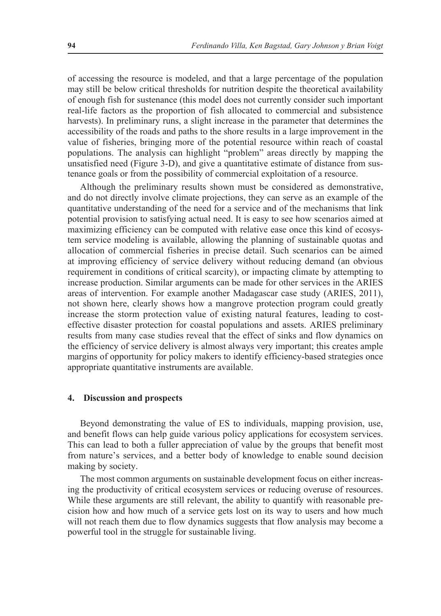of accessing the resource is modeled, and that a large percentage of the population may still be below critical thresholds for nutrition despite the theoretical availability of enough fish for sustenance (this model does not currently consider such important real-life factors as the proportion of fish allocated to commercial and subsistence harvests). In preliminary runs, a slight increase in the parameter that determines the accessibility of the roads and paths to the shore results in a large improvement in the value of fisheries, bringing more of the potential resource within reach of coastal populations. The analysis can highlight "problem" areas directly by mapping the unsatisfied need (Figure 3-D), and give a quantitative estimate of distance from sustenance goals or from the possibility of commercial exploitation of a resource.

Although the preliminary results shown must be considered as demonstrative, and do not directly involve climate projections, they can serve as an example of the quantitative understanding of the need for a service and of the mechanisms that link potential provision to satisfying actual need. It is easy to see how scenarios aimed at maximizing efficiency can be computed with relative ease once this kind of ecosystem service modeling is available, allowing the planning of sustainable quotas and allocation of commercial fisheries in precise detail. Such scenarios can be aimed at improving efficiency of service delivery without reducing demand (an obvious requirement in conditions of critical scarcity), or impacting climate by attempting to increase production. Similar arguments can be made for other services in the ARIES areas of intervention. For example another Madagascar case study (ARIES, 2011), not shown here, clearly shows how a mangrove protection program could greatly increase the storm protection value of existing natural features, leading to costeffective disaster protection for coastal populations and assets. ARIES preliminary results from many case studies reveal that the effect of sinks and flow dynamics on the efficiency of service delivery is almost always very important; this creates ample margins of opportunity for policy makers to identify efficiency-based strategies once appropriate quantitative instruments are available.

#### **4. Discussion and prospects**

Beyond demonstrating the value of ES to individuals, mapping provision, use, and benefit flows can help guide various policy applications for ecosystem services. This can lead to both a fuller appreciation of value by the groups that benefit most from nature's services, and a better body of knowledge to enable sound decision making by society.

The most common arguments on sustainable development focus on either increasing the productivity of critical ecosystem services or reducing overuse of resources. While these arguments are still relevant, the ability to quantify with reasonable precision how and how much of a service gets lost on its way to users and how much will not reach them due to flow dynamics suggests that flow analysis may become a powerful tool in the struggle for sustainable living.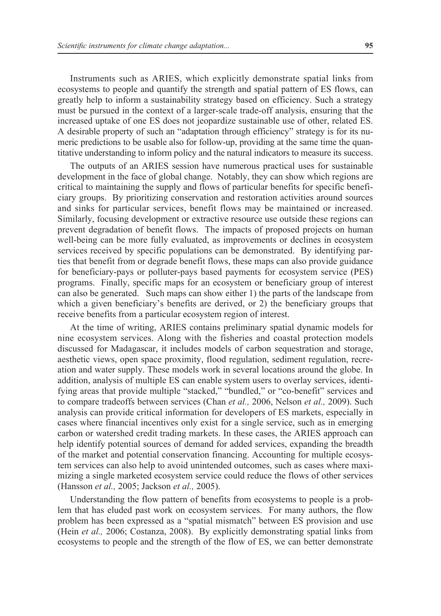Instruments such as ARIES, which explicitly demonstrate spatial links from ecosystems to people and quantify the strength and spatial pattern of ES flows, can greatly help to inform a sustainability strategy based on efficiency. Such a strategy must be pursued in the context of a larger-scale trade-off analysis, ensuring that the increased uptake of one ES does not jeopardize sustainable use of other, related ES. A desirable property of such an "adaptation through efficiency" strategy is for its numeric predictions to be usable also for follow-up, providing at the same time the quantitative understanding to inform policy and the natural indicators to measure its success.

The outputs of an ARIES session have numerous practical uses for sustainable development in the face of global change. Notably, they can show which regions are critical to maintaining the supply and flows of particular benefits for specific beneficiary groups. By prioritizing conservation and restoration activities around sources and sinks for particular services, benefit flows may be maintained or increased. Similarly, focusing development or extractive resource use outside these regions can prevent degradation of benefit flows. The impacts of proposed projects on human well-being can be more fully evaluated, as improvements or declines in ecosystem services received by specific populations can be demonstrated. By identifying parties that benefit from or degrade benefit flows, these maps can also provide guidance for beneficiary-pays or polluter-pays based payments for ecosystem service (PES) programs. Finally, specific maps for an ecosystem or beneficiary group of interest can also be generated. Such maps can show either 1) the parts of the landscape from which a given beneficiary's benefits are derived, or 2) the beneficiary groups that receive benefits from a particular ecosystem region of interest.

At the time of writing, ARIES contains preliminary spatial dynamic models for nine ecosystem services. Along with the fisheries and coastal protection models discussed for Madagascar, it includes models of carbon sequestration and storage, aesthetic views, open space proximity, flood regulation, sediment regulation, recreation and water supply. These models work in several locations around the globe. In addition, analysis of multiple ES can enable system users to overlay services, identifying areas that provide multiple "stacked," "bundled," or "co-benefit" services and to compare tradeoffs between services (Chan *et al.,* 2006, Nelson *et al.,* 2009). Such analysis can provide critical information for developers of ES markets, especially in cases where financial incentives only exist for a single service, such as in emerging carbon or watershed credit trading markets. In these cases, the ARIES approach can help identify potential sources of demand for added services, expanding the breadth of the market and potential conservation financing. Accounting for multiple ecosystem services can also help to avoid unintended outcomes, such as cases where maximizing a single marketed ecosystem service could reduce the flows of other services (Hansson *et al.,* 2005; Jackson *et al.,* 2005).

Understanding the flow pattern of benefits from ecosystems to people is a problem that has eluded past work on ecosystem services. For many authors, the flow problem has been expressed as a "spatial mismatch" between ES provision and use (Hein *et al.,* 2006; Costanza, 2008). By explicitly demonstrating spatial links from ecosystems to people and the strength of the flow of ES, we can better demonstrate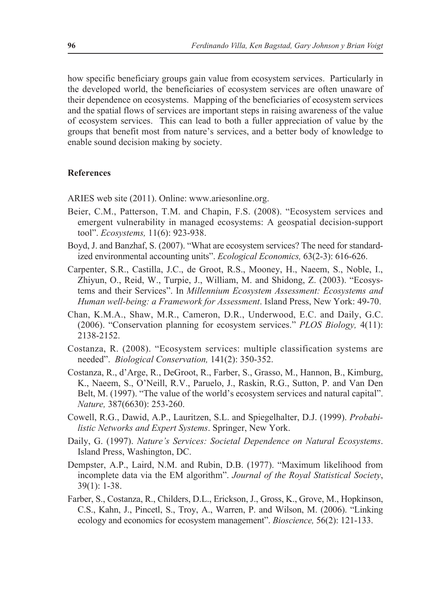how specific beneficiary groups gain value from ecosystem services. Particularly in the developed world, the beneficiaries of ecosystem services are often unaware of their dependence on ecosystems. Mapping of the beneficiaries of ecosystem services and the spatial flows of services are important steps in raising awareness of the value of ecosystem services. This can lead to both a fuller appreciation of value by the groups that benefit most from nature's services, and a better body of knowledge to enable sound decision making by society.

#### **References**

ARIES web site (2011). Online: www.ariesonline.org.

- Beier, C.M., Patterson, T.M. and Chapin, F.S. (2008). "Ecosystem services and emergent vulnerability in managed ecosystems: A geospatial decision-support tool". *Ecosystems,* 11(6): 923-938.
- Boyd, J. and Banzhaf, S. (2007). "What are ecosystem services? The need for standardized environmental accounting units". *Ecological Economics,* 63(2-3): 616-626.
- Carpenter, S.R., Castilla, J.C., de Groot, R.S., Mooney, H., Naeem, S., Noble, I., Zhiyun, O., Reid, W., Turpie, J., William, M. and Shidong, Z. (2003). "Ecosystems and their Services". In *Millennium Ecosystem Assessment: Ecosystems and Human well-being: a Framework for Assessment*. Island Press, New York: 49-70.
- Chan, K.M.A., Shaw, M.R., Cameron, D.R., Underwood, E.C. and Daily, G.C. (2006). "Conservation planning for ecosystem services." *PLOS Biology,* 4(11): 2138-2152.
- Costanza, R. (2008). "Ecosystem services: multiple classification systems are needed". *Biological Conservation,* 141(2): 350-352.
- Costanza, R., d'Arge, R., DeGroot, R., Farber, S., Grasso, M., Hannon, B., Kimburg, K., Naeem, S., O'Neill, R.V., Paruelo, J., Raskin, R.G., Sutton, P. and Van Den Belt, M. (1997). "The value of the world's ecosystem services and natural capital". *Nature,* 387(6630): 253-260.
- Cowell, R.G., Dawid, A.P., Lauritzen, S.L. and Spiegelhalter, D.J. (1999). *Probabilistic Networks and Expert Systems*. Springer, New York.
- Daily, G. (1997). *Nature's Services: Societal Dependence on Natural Ecosystems*. Island Press, Washington, DC.
- Dempster, A.P., Laird, N.M. and Rubin, D.B. (1977). "Maximum likelihood from incomplete data via the EM algorithm". *Journal of the Royal Statistical Society*, 39(1): 1-38.
- Farber, S., Costanza, R., Childers, D.L., Erickson, J., Gross, K., Grove, M., Hopkinson, C.S., Kahn, J., Pincetl, S., Troy, A., Warren, P. and Wilson, M. (2006). "Linking ecology and economics for ecosystem management". *Bioscience,* 56(2): 121-133.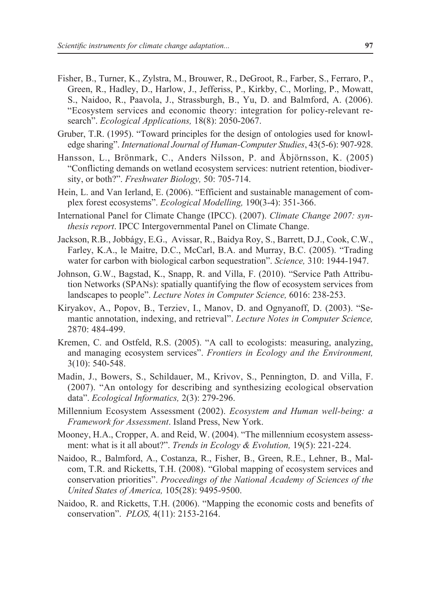- Fisher, B., Turner, K., Zylstra, M., Brouwer, R., DeGroot, R., Farber, S., Ferraro, P., Green, R., Hadley, D., Harlow, J., Jefferiss, P., Kirkby, C., Morling, P., Mowatt, S., Naidoo, R., Paavola, J., Strassburgh, B., Yu, D. and Balmford, A. (2006). "Ecosystem services and economic theory: integration for policy-relevant research". *Ecological Applications,* 18(8): 2050-2067.
- Gruber, T.R. (1995). "Toward principles for the design of ontologies used for knowledge sharing". *International Journal of Human-Computer Studies*, 43(5-6): 907-928.
- Hansson, L., Brönmark, C., Anders Nilsson, P. and Åbjörnsson, K. (2005) "Conflicting demands on wetland ecosystem services: nutrient retention, biodiversity, or both?". *Freshwater Biology,* 50: 705-714.
- Hein, L. and Van Ierland, E. (2006). "Efficient and sustainable management of complex forest ecosystems". *Ecological Modelling,* 190(3-4): 351-366.
- International Panel for Climate Change (IPCC). (2007). *Climate Change 2007: synthesis report*. IPCC Intergovernmental Panel on Climate Change.
- Jackson, R.B., Jobbágy, E.G., Avissar, R., Baidya Roy, S., Barrett, D.J., Cook, C.W., Farley, K.A., le Maitre, D.C., McCarl, B.A. and Murray, B.C. (2005). "Trading water for carbon with biological carbon sequestration". *Science,* 310: 1944-1947.
- Johnson, G.W., Bagstad, K., Snapp, R. and Villa, F. (2010). "Service Path Attribution Networks (SPANs): spatially quantifying the flow of ecosystem services from landscapes to people". *Lecture Notes in Computer Science,* 6016: 238-253.
- Kiryakov, A., Popov, B., Terziev, I., Manov, D. and Ognyanoff, D. (2003). "Semantic annotation, indexing, and retrieval". *Lecture Notes in Computer Science,*  2870: 484-499.
- Kremen, C. and Ostfeld, R.S. (2005). "A call to ecologists: measuring, analyzing, and managing ecosystem services". *Frontiers in Ecology and the Environment,* 3(10): 540-548.
- Madin, J., Bowers, S., Schildauer, M., Krivov, S., Pennington, D. and Villa, F. (2007). "An ontology for describing and synthesizing ecological observation data". *Ecological Informatics,* 2(3): 279-296.
- Millennium Ecosystem Assessment (2002). *Ecosystem and Human well-being: a Framework for Assessment*. Island Press, New York.
- Mooney, H.A., Cropper, A. and Reid, W. (2004). "The millennium ecosystem assessment: what is it all about?". *Trends in Ecology & Evolution,* 19(5): 221-224.
- Naidoo, R., Balmford, A., Costanza, R., Fisher, B., Green, R.E., Lehner, B., Malcom, T.R. and Ricketts, T.H. (2008). "Global mapping of ecosystem services and conservation priorities". *Proceedings of the National Academy of Sciences of the United States of America,* 105(28): 9495-9500.
- Naidoo, R. and Ricketts, T.H. (2006). "Mapping the economic costs and benefits of conservation". *PLOS,* 4(11): 2153-2164.